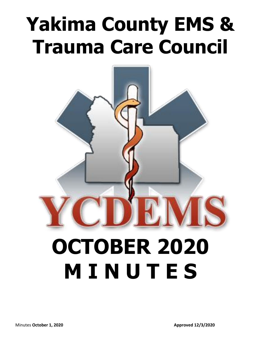# **Yakima County EMS & Trauma Care Council**



# **OCTOBER 2020 M I N U T E S**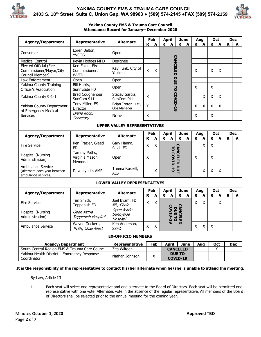



#### **Yakima County EMS & Trauma Care Council Attendance Record for January– December 2020**

|                                                                          | Representative                                  | <b>Alternate</b>                     | Feb |     | <b>April</b><br><b>June</b>                                    |                           | Aug                     |     | <b>Oct</b>  |     | <b>Dec</b>  |            |
|--------------------------------------------------------------------------|-------------------------------------------------|--------------------------------------|-----|-----|----------------------------------------------------------------|---------------------------|-------------------------|-----|-------------|-----|-------------|------------|
| <b>Agency/Department</b>                                                 |                                                 |                                      | R   | A   | $\mathbf R$<br>A                                               | $\mathbf R$<br>A          | $\mathbf R$             | A   | R           | A   | $\mathbf R$ | A          |
| Consumer                                                                 | Loren Belton,<br><b>YVCOG</b>                   | Open                                 |     |     |                                                                |                           |                         |     |             |     |             |            |
| <b>Medical Control</b>                                                   | Kevin Hodges MPD                                | Designee                             |     |     |                                                                |                           |                         |     |             |     |             |            |
| Elected Official (Fire<br>Commissioner/Mayor/City<br>Council Member)     | Ken Eakin, Fire<br>Commissioner,<br><b>WVFD</b> | Kay Funk, City of<br>Yakima          | Χ   | X   |                                                                |                           | X                       |     | X           | X   |             |            |
| Law Enforcement                                                          | Open                                            | Open                                 |     |     |                                                                |                           |                         |     |             |     |             |            |
| <b>Yakima County Training</b><br>Officer's Association                   | <b>Bill Harris,</b><br>Sunnyside FD             | Open                                 |     |     | <b>CANCELED DUE TO COVID-19</b>                                |                           | X                       |     | X           |     |             |            |
| Yakima County 9-1-1                                                      | Brad Coughenour,<br>SunCom 911                  | Stacey Garcia,<br>SunCom 911         | Χ   |     |                                                                |                           |                         | X   | X           | X   |             |            |
| Yakima County Department<br>of Emergency Medical                         | Tony Miller, ES<br>Director                     | Brian Ireton, EMS<br>Ops Manager     | Χ   |     |                                                                |                           | Χ                       | Χ   | Χ           | X   |             |            |
| <b>Services</b>                                                          | Diane Koch,<br>Secretary                        | None                                 | X   |     |                                                                |                           | X                       |     | X           |     |             |            |
| <b>UPPER VALLEY REPRESENTATIVES</b>                                      |                                                 |                                      |     |     |                                                                |                           |                         |     |             |     |             |            |
| <b>Agency/Department</b>                                                 | Representative                                  | <b>Alternate</b>                     | Feb |     | <b>April</b>                                                   | <b>June</b>               | Aug                     |     | Oct         |     |             | <b>Dec</b> |
|                                                                          |                                                 |                                      | R   | A   | A<br>R                                                         | $\mathbf R$<br>A          | $\overline{\mathbf{R}}$ | A   | $\mathbf R$ | A   | R           | A          |
| <b>Fire Service</b>                                                      | Ken Frazier, Gleed<br><b>FD</b>                 | Gary Hanna,<br>Selah FD              | Χ   | X   |                                                                |                           |                         | X   | X           |     |             |            |
| Hospital (Nursing<br>Administration)                                     | Tammy Pettis,<br>Virginia Mason<br>Memorial     | Open                                 | X   |     | <b>CANCELED DUE</b><br>TO COVID-19                             |                           | X                       |     | X           |     |             |            |
| Ambulance Service<br>(alternate each year between<br>ambulance services) | Dave Lynde, AMR                                 | Treena Russell,<br><b>ALS</b>        |     | X   |                                                                |                           |                         | X   | X           | X   |             |            |
| <b>LOWER VALLEY REPRESENTATIVES</b>                                      |                                                 |                                      |     |     |                                                                |                           |                         |     |             |     |             |            |
| <b>Agency/Department</b>                                                 | Representative                                  | <b>Alternate</b>                     | Feb |     | <b>April</b>                                                   | <b>June</b>               | Aug                     |     |             | Oct |             | <b>Dec</b> |
|                                                                          |                                                 |                                      | R   | A   | $\mathbf{A}$<br>R                                              | R.<br>A                   | $\mathbf R$             | A   | R           | A   | R           | A          |
| <b>Fire Service</b>                                                      | Tim Smith,<br>Toppenish FD                      | Joel Byam, FD<br>#5, Chair           | X   | X   |                                                                |                           | X                       | X   |             | X   |             |            |
| Hospital (Nursing<br>Administration)                                     | Open Astria<br>Toppenish Hospital               | Open Astria<br>Sunnyside<br>Hospital |     |     | <b><i>CANCELED</i></b><br><b>COVID-19</b><br>DUE <sub>TO</sub> |                           |                         |     |             |     |             |            |
| Ambulance Service                                                        | Wayne Guckert,<br>WSA, <i>Chair-Elect</i>       | Ken Anderson,<br><b>SSFD</b>         | Χ   | Χ   |                                                                |                           | Χ                       | X   | X           |     |             |            |
| <b>EX-OFFICIO MEMBERS</b>                                                |                                                 |                                      |     |     |                                                                |                           |                         |     |             |     |             |            |
| <b>Agency/Department</b>                                                 |                                                 | Representative                       |     | Feb | April                                                          | <b>June</b>               |                         | Aug |             | Oct |             | <b>Dec</b> |
| South Central Region EMS & Trauma Care Council                           |                                                 | Zita Wiltgen                         |     |     |                                                                | <b>CANCELED</b>           |                         |     |             | X   |             |            |
| Yakima Health District - Emergency Response<br>Coordinator               |                                                 | Nathan Johnson                       |     | X   |                                                                | <b>DUE TO</b><br>COVID-19 |                         |     |             |     |             |            |

**It is the responsibility of the representative to contact his/her alternate when he/she is unable to attend the meeting.**

By-Law, Article III

1.1 Each seat will select one representative and one alternate to the Board of Directors. Each seat will be permitted one representative with one vote. Alternates vote in the absence of the regular representative. All members of the Board of Directors shall be selected prior to the annual meeting for the coming year.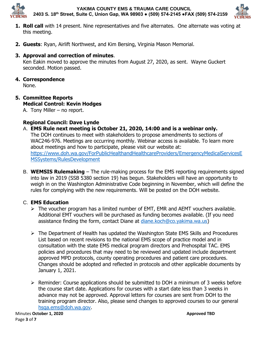

**YAKIMA COUNTY EMS & TRAUMA CARE COUNCIL 2403 S. 18th Street, Suite C, Union Gap, WA 98903 ● (509) 574-2145 ●FAX (509) 574-2159**



- **1. Roll call** with 14 present. Nine representatives and five alternates. One alternate was voting at this meeting.
- **2. Guests**: Ryan, Airlift Northwest, and Kim Bersing, Virginia Mason Memorial.

#### **3. Approval and correction of minutes**.

Ken Eakin moved to approve the minutes from August 27, 2020, as sent. Wayne Guckert seconded. Motion passed.

## **4. Correspondence**

None.

## **5. Committee Reports Medical Control: Kevin Hodges**

A. Tony Miller – no report.

## **Regional Council: Dave Lynde**

- A. **EMS Rule next meeting is October 21, 2020, 14:00 and is a webinar only.** The DOH continues to meet with stakeholders to propose amendments to sections of WAC246-976. Meetings are occurring monthly. Webinar access is available. To learn more about meetings and how to participate, please visit our website at: [https://www.doh.wa.gov/ForPublicHealthandHealthcareProviders/EmergencyMedicalServicesE](https://www.doh.wa.gov/ForPublicHealthandHealthcareProviders/EmergencyMedicalServicesEMSSystems/RulesDevelopment) [MSSystems/RulesDevelopment](https://www.doh.wa.gov/ForPublicHealthandHealthcareProviders/EmergencyMedicalServicesEMSSystems/RulesDevelopment)
- B. **WEMSIS Rulemaking** The rule-making process for the EMS reporting requirements signed into law in 2019 (SSB 5380 section 19) has begun. Stakeholders will have an opportunity to weigh in on the Washington Administrative Code beginning in November, which will define the rules for complying with the new requirements. Will be posted on the DOH website.

### C. **EMS Education**

- ➢ The voucher program has a limited number of EMT, EMR and AEMT vouchers available. Additional EMT vouchers will be purchased as funding becomes available. (If you need assistance finding the form, contact Diane at [diane.koch@co.yakima.wa.us\)](mailto:diane.koch@co.yakima.wa.us)
- ➢ The Department of Health has updated the Washington State EMS Skills and Procedures List based on recent revisions to the national EMS scope of practice model and in consultation with the state EMS medical program directors and Prehospital TAC. EMS policies and procedures that may need to be reviewed and updated include department approved MPD protocols, county operating procedures and patient care procedures. Changes should be adopted and reflected in protocols and other applicable documents by January 1, 2021.
- ➢ Reminder: Course applications should be submitted to DOH a minimum of 3 weeks before the course start date. Applications for courses with a start date less than 3 weeks in advance may not be approved. Approval letters for courses are sent from DOH to the training program director. Also, please send changes to approved courses to our general [hsqa.ems@doh.wa.gov.](mailto:hsqa.ems@doh.wa.gov)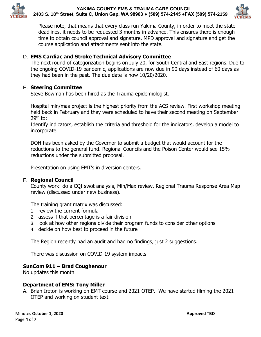



Please note, that means that every class run Yakima County, in order to meet the state deadlines, it needs to be requested 3 months in advance. This ensures there is enough time to obtain council approval and signature, MPD approval and signature and get the course application and attachments sent into the state.

#### D. **EMS Cardiac and Stroke Technical Advisory Committee**

The next round of categorization begins on July 20, for South Central and East regions. Due to the ongoing COVID-19 pandemic, applications are now due in 90 days instead of 60 days as they had been in the past. The due date is now 10/20/2020.

#### E. **Steering Committee**

Steve Bowman has been hired as the Trauma epidemiologist.

Hospital min/mas project is the highest priority from the ACS review. First workshop meeting held back in February and they were scheduled to have their second meeting on September  $29<sup>th</sup>$  to:

Identify indicators, establish the criteria and threshold for the indicators, develop a model to incorporate.

DOH has been asked by the Governor to submit a budget that would account for the reductions to the general fund. Regional Councils and the Poison Center would see 15% reductions under the submitted proposal.

Presentation on using EMT's in diversion centers.

#### F. **Regional Council**

County work: do a CQI swot analysis, Min/Max review, Regional Trauma Response Area Map review (discussed under new business).

The training grant matrix was discussed:

- 1. review the current formula
- 2. assess if that percentage is a fair division
- 3. look at how other regions divide their program funds to consider other options
- 4. decide on how best to proceed in the future

The Region recently had an audit and had no findings, just 2 suggestions.

There was discussion on COVID-19 system impacts.

#### **SunCom 911 – Brad Coughenour**

No updates this month.

#### **Department of EMS: Tony Miller**

A. Brian Ireton is working on EMT course and 2021 OTEP. We have started filming the 2021 OTEP and working on student text.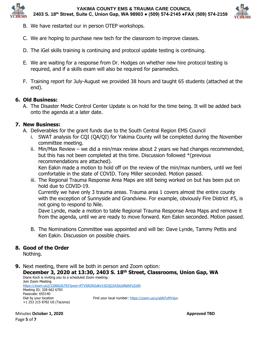

**YAKIMA COUNTY EMS & TRAUMA CARE COUNCIL 2403 S. 18th Street, Suite C, Union Gap, WA 98903 ● (509) 574-2145 ●FAX (509) 574-2159**



- B. We have restarted our in person OTEP workshops.
- C. We are hoping to purchase new tech for the classroom to improve classes.
- D. The iGel skills training is continuing and protocol update testing is continuing.
- E. We are waiting for a response from Dr. Hodges on whether new hire protocol testing is required, and if a skills exam will also be required for paramedics.
- F. Training report for July-August we provided 38 hours and taught 65 students (attached at the end).

#### **6. Old Business:**

A. The Disaster Medic Control Center Update is on hold for the time being. It will be added back onto the agenda at a later date.

#### **7. New Business:**

- A. Deliverables for the grant funds due to the South Central Region EMS Council
	- i. SWAT analysis for CQI (QA/QI) for Yakima County will be completed during the November committee meeting.
	- ii. Min/Max Review we did a min/max review about 2 years we had changes recommended, but this has not been completed at this time. Discussion followed \*(previous recommendations are attached).

Ken Eakin made a motion to hold off on the review of the min/max numbers, until we feel comfortable in the state of COVID. Tony Miller seconded. Motion passed.

iii. The Regional Trauma Response Area Maps are still being worked on but has been put on hold due to COVID-19.

Currently we have only 3 trauma areas. Trauma area 1 covers almost the entire county with the exception of Sunnyside and Grandview. For example, obviously Fire District #5, is not going to respond to Nile.

Dave Lynde, made a motion to table Regional Trauma Response Area Maps and remove it from the agenda, until we are ready to move forward. Ken Eakin seconded. Motion passed.

B. The Nominations Committee was appointed and will be: Dave Lynde, Tammy Pettis and Ken Eakin. Discussion on possible chairs.

#### **8. Good of the Order**

Nothing.

**9.** Next meeting, there will be both in person and Zoom option:

**December 3, 2020 at 13:30, 2403 S. 18th Street, Classrooms, Union Gap, WA** Diane Koch is inviting you to a scheduled Zoom meeting. Join Zoom Meeting <https://zoom.us/j/3286626793?pwd=RTVSRDN2dkV1SDJjQ3A3b2dNdXFzZz09> Meeting ID: 328 662 6793 Passcode: 655140 Dial by your location Find your local number:<https://zoom.us/u/abN7yMYdyn> +1 253 215 8782 US (Tacoma)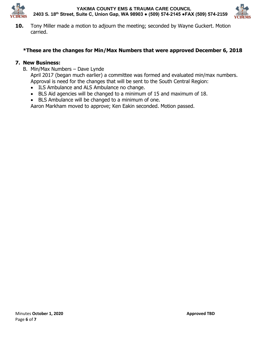

**YAKIMA COUNTY EMS & TRAUMA CARE COUNCIL 2403 S. 18th Street, Suite C, Union Gap, WA 98903 ● (509) 574-2145 ●FAX (509) 574-2159**



**10.** Tony Miller made a motion to adjourn the meeting; seconded by Wayne Guckert. Motion carried.

### **\*These are the changes for Min/Max Numbers that were approved December 6, 2018**

#### **7. New Business:**

B. Min/Max Numbers – Dave Lynde

April 2017 (began much earlier) a committee was formed and evaluated min/max numbers. Approval is need for the changes that will be sent to the South Central Region:

- ILS Ambulance and ALS Ambulance no change.
- BLS Aid agencies will be changed to a minimum of 15 and maximum of 18.
- BLS Ambulance will be changed to a minimum of one.

Aaron Markham moved to approve; Ken Eakin seconded. Motion passed.